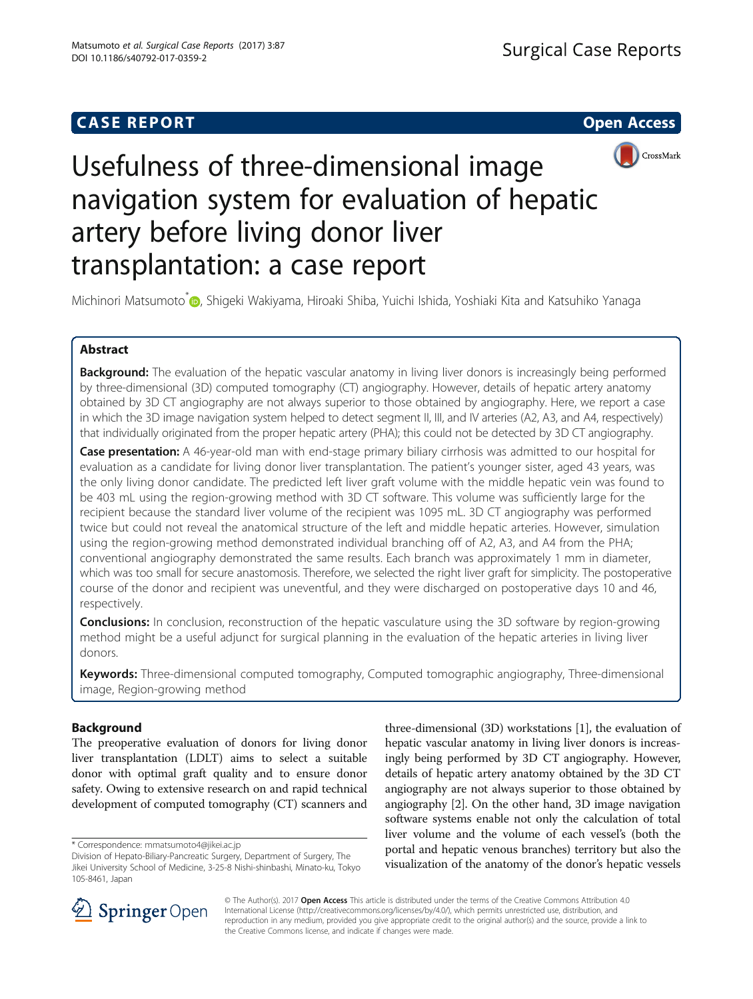# **CASE REPORT CASE REPORT CASE REPORT**





# Usefulness of three-dimensional image navigation system for evaluation of hepatic artery before living donor liver transplantation: a case report

Michinori Matsumoto<sup>\*</sup> , Shigeki Wakiyama, Hiroaki Shiba, Yuichi Ishida, Yoshiaki Kita and Katsuhiko Yanaga

# Abstract

Background: The evaluation of the hepatic vascular anatomy in living liver donors is increasingly being performed by three-dimensional (3D) computed tomography (CT) angiography. However, details of hepatic artery anatomy obtained by 3D CT angiography are not always superior to those obtained by angiography. Here, we report a case in which the 3D image navigation system helped to detect segment II, III, and IV arteries (A2, A3, and A4, respectively) that individually originated from the proper hepatic artery (PHA); this could not be detected by 3D CT angiography.

Case presentation: A 46-year-old man with end-stage primary biliary cirrhosis was admitted to our hospital for evaluation as a candidate for living donor liver transplantation. The patient's younger sister, aged 43 years, was the only living donor candidate. The predicted left liver graft volume with the middle hepatic vein was found to be 403 mL using the region-growing method with 3D CT software. This volume was sufficiently large for the recipient because the standard liver volume of the recipient was 1095 mL. 3D CT angiography was performed twice but could not reveal the anatomical structure of the left and middle hepatic arteries. However, simulation using the region-growing method demonstrated individual branching off of A2, A3, and A4 from the PHA; conventional angiography demonstrated the same results. Each branch was approximately 1 mm in diameter, which was too small for secure anastomosis. Therefore, we selected the right liver graft for simplicity. The postoperative course of the donor and recipient was uneventful, and they were discharged on postoperative days 10 and 46, respectively.

**Conclusions:** In conclusion, reconstruction of the hepatic vasculature using the 3D software by region-growing method might be a useful adjunct for surgical planning in the evaluation of the hepatic arteries in living liver donors.

Keywords: Three-dimensional computed tomography, Computed tomographic angiography, Three-dimensional image, Region-growing method

# Background

The preoperative evaluation of donors for living donor liver transplantation (LDLT) aims to select a suitable donor with optimal graft quality and to ensure donor safety. Owing to extensive research on and rapid technical development of computed tomography (CT) scanners and

three-dimensional (3D) workstations [\[1](#page-3-0)], the evaluation of hepatic vascular anatomy in living liver donors is increasingly being performed by 3D CT angiography. However, details of hepatic artery anatomy obtained by the 3D CT angiography are not always superior to those obtained by angiography [\[2\]](#page-3-0). On the other hand, 3D image navigation software systems enable not only the calculation of total liver volume and the volume of each vessel's (both the portal and hepatic venous branches) territory but also the visualization of the anatomy of the donor's hepatic vessels



© The Author(s). 2017 **Open Access** This article is distributed under the terms of the Creative Commons Attribution 4.0 International License ([http://creativecommons.org/licenses/by/4.0/\)](http://creativecommons.org/licenses/by/4.0/), which permits unrestricted use, distribution, and reproduction in any medium, provided you give appropriate credit to the original author(s) and the source, provide a link to the Creative Commons license, and indicate if changes were made.

<sup>\*</sup> Correspondence: [mmatsumoto4@jikei.ac.jp](mailto:mmatsumoto4@jikei.ac.jp)

Division of Hepato-Biliary-Pancreatic Surgery, Department of Surgery, The Jikei University School of Medicine, 3-25-8 Nishi-shinbashi, Minato-ku, Tokyo 105-8461, Japan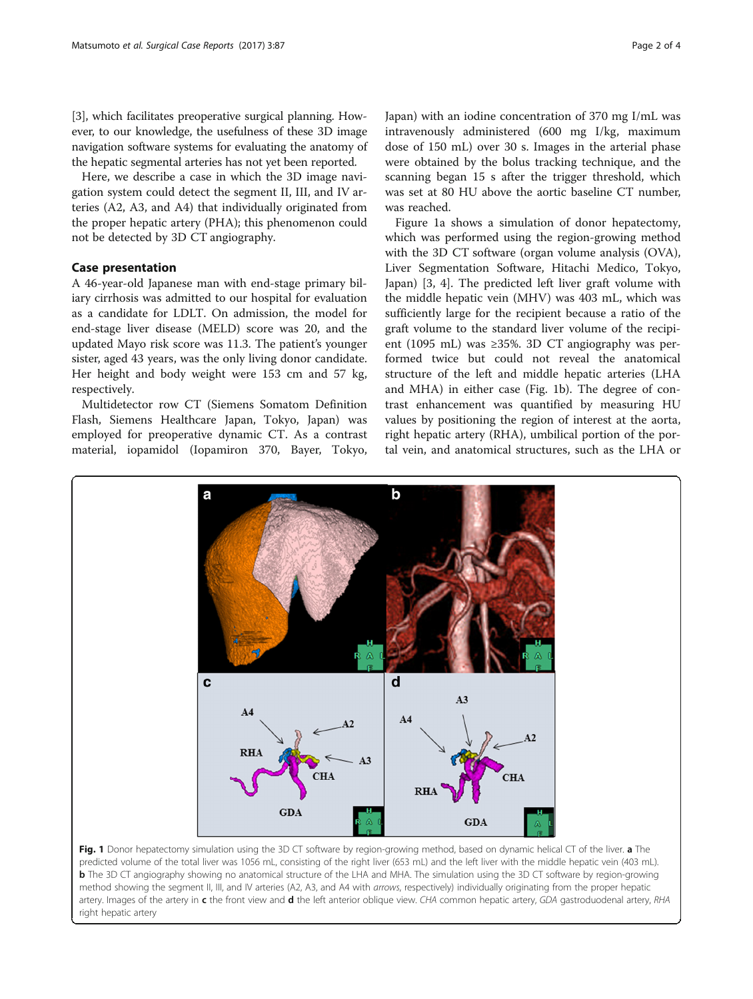<span id="page-1-0"></span>[[3\]](#page-3-0), which facilitates preoperative surgical planning. However, to our knowledge, the usefulness of these 3D image navigation software systems for evaluating the anatomy of the hepatic segmental arteries has not yet been reported.

Here, we describe a case in which the 3D image navigation system could detect the segment II, III, and IV arteries (A2, A3, and A4) that individually originated from the proper hepatic artery (PHA); this phenomenon could not be detected by 3D CT angiography.

### Case presentation

A 46-year-old Japanese man with end-stage primary biliary cirrhosis was admitted to our hospital for evaluation as a candidate for LDLT. On admission, the model for end-stage liver disease (MELD) score was 20, and the updated Mayo risk score was 11.3. The patient's younger sister, aged 43 years, was the only living donor candidate. Her height and body weight were 153 cm and 57 kg, respectively.

Multidetector row CT (Siemens Somatom Definition Flash, Siemens Healthcare Japan, Tokyo, Japan) was employed for preoperative dynamic CT. As a contrast material, iopamidol (Iopamiron 370, Bayer, Tokyo, Japan) with an iodine concentration of 370 mg I/mL was intravenously administered (600 mg I/kg, maximum dose of 150 mL) over 30 s. Images in the arterial phase were obtained by the bolus tracking technique, and the scanning began 15 s after the trigger threshold, which was set at 80 HU above the aortic baseline CT number, was reached.

Figure 1a shows a simulation of donor hepatectomy, which was performed using the region-growing method with the 3D CT software (organ volume analysis (OVA), Liver Segmentation Software, Hitachi Medico, Tokyo, Japan) [\[3](#page-3-0), [4](#page-3-0)]. The predicted left liver graft volume with the middle hepatic vein (MHV) was 403 mL, which was sufficiently large for the recipient because a ratio of the graft volume to the standard liver volume of the recipient (1095 mL) was ≥35%. 3D CT angiography was performed twice but could not reveal the anatomical structure of the left and middle hepatic arteries (LHA and MHA) in either case (Fig. 1b). The degree of contrast enhancement was quantified by measuring HU values by positioning the region of interest at the aorta, right hepatic artery (RHA), umbilical portion of the portal vein, and anatomical structures, such as the LHA or



predicted volume of the total liver was 1056 mL, consisting of the right liver (653 mL) and the left liver with the middle hepatic vein (403 mL). **b** The 3D CT angiography showing no anatomical structure of the LHA and MHA. The simulation using the 3D CT software by region-growing method showing the segment II, III, and IV arteries (A2, A3, and A4 with arrows, respectively) individually originating from the proper hepatic artery. Images of the artery in c the front view and d the left anterior oblique view. CHA common hepatic artery, GDA gastroduodenal artery, RHA right hepatic artery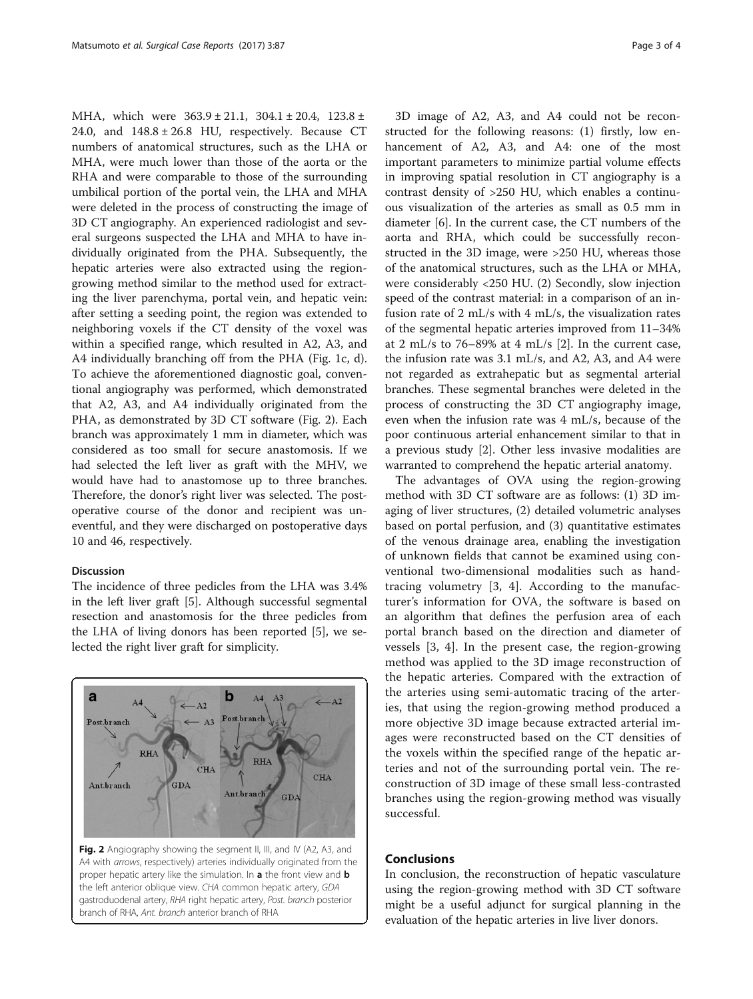MHA, which were 363.9 ± 21.1, 304.1 ± 20.4, 123.8 ± 24.0, and  $148.8 \pm 26.8$  HU, respectively. Because CT numbers of anatomical structures, such as the LHA or MHA, were much lower than those of the aorta or the RHA and were comparable to those of the surrounding umbilical portion of the portal vein, the LHA and MHA were deleted in the process of constructing the image of 3D CT angiography. An experienced radiologist and several surgeons suspected the LHA and MHA to have individually originated from the PHA. Subsequently, the hepatic arteries were also extracted using the regiongrowing method similar to the method used for extracting the liver parenchyma, portal vein, and hepatic vein: after setting a seeding point, the region was extended to neighboring voxels if the CT density of the voxel was within a specified range, which resulted in A2, A3, and A4 individually branching off from the PHA (Fig. [1c](#page-1-0), d). To achieve the aforementioned diagnostic goal, conventional angiography was performed, which demonstrated that A2, A3, and A4 individually originated from the PHA, as demonstrated by 3D CT software (Fig. 2). Each branch was approximately 1 mm in diameter, which was considered as too small for secure anastomosis. If we had selected the left liver as graft with the MHV, we would have had to anastomose up to three branches. Therefore, the donor's right liver was selected. The postoperative course of the donor and recipient was uneventful, and they were discharged on postoperative days 10 and 46, respectively.

#### Discussion

The incidence of three pedicles from the LHA was 3.4% in the left liver graft [[5\]](#page-3-0). Although successful segmental resection and anastomosis for the three pedicles from the LHA of living donors has been reported [[5\]](#page-3-0), we selected the right liver graft for simplicity.



Fig. 2 Angiography showing the segment II, III, and IV (A2, A3, and A4 with arrows, respectively) arteries individually originated from the proper hepatic artery like the simulation. In a the front view and b the left anterior oblique view. CHA common hepatic artery, GDA gastroduodenal artery, RHA right hepatic artery, Post. branch posterior branch of RHA, Ant. branch anterior branch of RHA

3D image of A2, A3, and A4 could not be reconstructed for the following reasons: (1) firstly, low enhancement of A2, A3, and A4: one of the most important parameters to minimize partial volume effects in improving spatial resolution in CT angiography is a contrast density of >250 HU, which enables a continuous visualization of the arteries as small as 0.5 mm in diameter [[6\]](#page-3-0). In the current case, the CT numbers of the aorta and RHA, which could be successfully reconstructed in the 3D image, were >250 HU, whereas those of the anatomical structures, such as the LHA or MHA, were considerably <250 HU. (2) Secondly, slow injection speed of the contrast material: in a comparison of an infusion rate of 2 mL/s with 4 mL/s, the visualization rates of the segmental hepatic arteries improved from 11–34% at 2 mL/s to 76–89% at 4 mL/s [[2](#page-3-0)]. In the current case, the infusion rate was 3.1 mL/s, and A2, A3, and A4 were not regarded as extrahepatic but as segmental arterial branches. These segmental branches were deleted in the process of constructing the 3D CT angiography image, even when the infusion rate was 4 mL/s, because of the poor continuous arterial enhancement similar to that in a previous study [[2\]](#page-3-0). Other less invasive modalities are warranted to comprehend the hepatic arterial anatomy.

The advantages of OVA using the region-growing method with 3D CT software are as follows: (1) 3D imaging of liver structures, (2) detailed volumetric analyses based on portal perfusion, and (3) quantitative estimates of the venous drainage area, enabling the investigation of unknown fields that cannot be examined using conventional two-dimensional modalities such as handtracing volumetry [[3, 4\]](#page-3-0). According to the manufacturer's information for OVA, the software is based on an algorithm that defines the perfusion area of each portal branch based on the direction and diameter of vessels [\[3](#page-3-0), [4\]](#page-3-0). In the present case, the region-growing method was applied to the 3D image reconstruction of the hepatic arteries. Compared with the extraction of the arteries using semi-automatic tracing of the arteries, that using the region-growing method produced a more objective 3D image because extracted arterial images were reconstructed based on the CT densities of the voxels within the specified range of the hepatic arteries and not of the surrounding portal vein. The reconstruction of 3D image of these small less-contrasted branches using the region-growing method was visually successful.

### Conclusions

In conclusion, the reconstruction of hepatic vasculature using the region-growing method with 3D CT software might be a useful adjunct for surgical planning in the evaluation of the hepatic arteries in live liver donors.